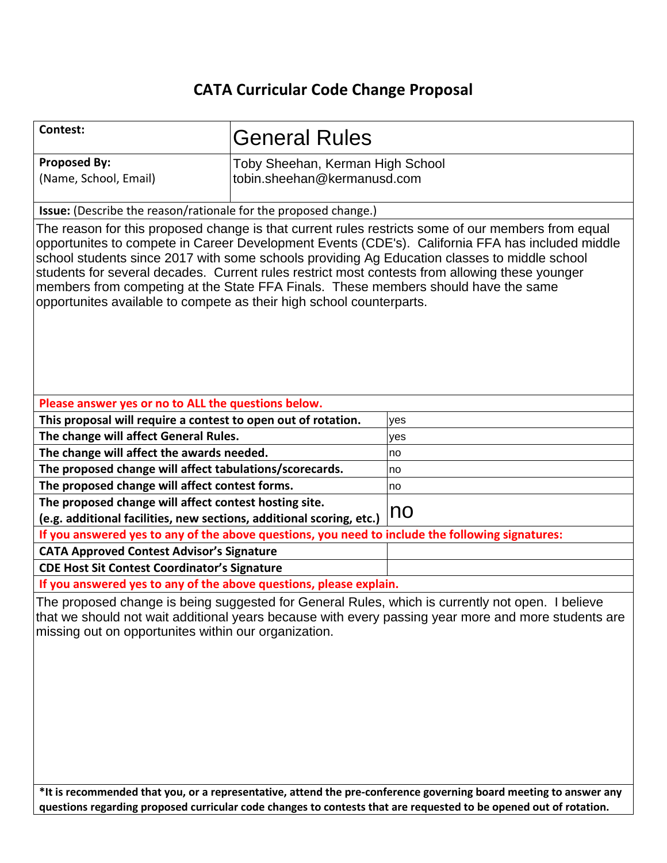## **CATA Curricular Code Change Proposal**

| <b>Contest:</b>                                                                                                                                                                                                                                                                                                                                                                                                                                                                                                                                                        | <b>General Rules</b>                                            |     |
|------------------------------------------------------------------------------------------------------------------------------------------------------------------------------------------------------------------------------------------------------------------------------------------------------------------------------------------------------------------------------------------------------------------------------------------------------------------------------------------------------------------------------------------------------------------------|-----------------------------------------------------------------|-----|
| <b>Proposed By:</b><br>(Name, School, Email)                                                                                                                                                                                                                                                                                                                                                                                                                                                                                                                           | Toby Sheehan, Kerman High School<br>tobin.sheehan@kermanusd.com |     |
| Issue: (Describe the reason/rationale for the proposed change.)                                                                                                                                                                                                                                                                                                                                                                                                                                                                                                        |                                                                 |     |
| The reason for this proposed change is that current rules restricts some of our members from equal<br>opportunites to compete in Career Development Events (CDE's). California FFA has included middle<br>school students since 2017 with some schools providing Ag Education classes to middle school<br>students for several decades. Current rules restrict most contests from allowing these younger<br>members from competing at the State FFA Finals. These members should have the same<br>opportunites available to compete as their high school counterparts. |                                                                 |     |
| Please answer yes or no to ALL the questions below.                                                                                                                                                                                                                                                                                                                                                                                                                                                                                                                    |                                                                 |     |
| This proposal will require a contest to open out of rotation.                                                                                                                                                                                                                                                                                                                                                                                                                                                                                                          |                                                                 | yes |
| The change will affect General Rules.                                                                                                                                                                                                                                                                                                                                                                                                                                                                                                                                  |                                                                 | yes |
| The change will affect the awards needed.                                                                                                                                                                                                                                                                                                                                                                                                                                                                                                                              |                                                                 | no  |
| The proposed change will affect tabulations/scorecards.                                                                                                                                                                                                                                                                                                                                                                                                                                                                                                                |                                                                 | no  |
| The proposed change will affect contest forms.                                                                                                                                                                                                                                                                                                                                                                                                                                                                                                                         |                                                                 | no  |
| The proposed change will affect contest hosting site.<br>(e.g. additional facilities, new sections, additional scoring, etc.)                                                                                                                                                                                                                                                                                                                                                                                                                                          |                                                                 | no  |
| If you answered yes to any of the above questions, you need to include the following signatures:                                                                                                                                                                                                                                                                                                                                                                                                                                                                       |                                                                 |     |
| <b>CATA Approved Contest Advisor's Signature</b>                                                                                                                                                                                                                                                                                                                                                                                                                                                                                                                       |                                                                 |     |
| <b>CDE Host Sit Contest Coordinator's Signature</b>                                                                                                                                                                                                                                                                                                                                                                                                                                                                                                                    |                                                                 |     |
| If you answered yes to any of the above questions, please explain.                                                                                                                                                                                                                                                                                                                                                                                                                                                                                                     |                                                                 |     |
| The proposed change is being suggested for General Rules, which is currently not open. I believe<br>that we should not wait additional years because with every passing year more and more students are<br>missing out on opportunites within our organization.                                                                                                                                                                                                                                                                                                        |                                                                 |     |
| *It is recommended that you, or a representative, attend the pre-conference governing board meeting to answer any                                                                                                                                                                                                                                                                                                                                                                                                                                                      |                                                                 |     |

**\*It is recommended that you, or a representative, attend the pre-conference governing board meeting to answer any questions regarding proposed curricular code changes to contests that are requested to be opened out of rotation.**